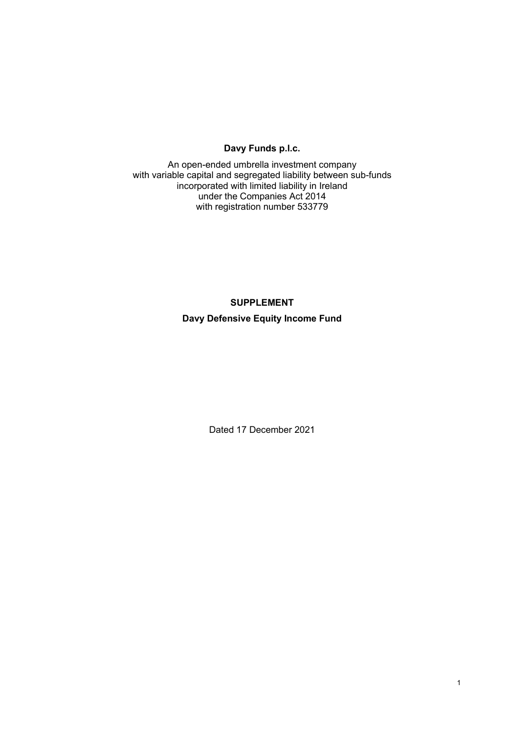# **Davy Funds p.l.c.**

An open-ended umbrella investment company with variable capital and segregated liability between sub-funds incorporated with limited liability in Ireland under the Companies Act 2014 with registration number 533779

#### **SUPPLEMENT**

**Davy Defensive Equity Income Fund** 

Dated 17 December 2021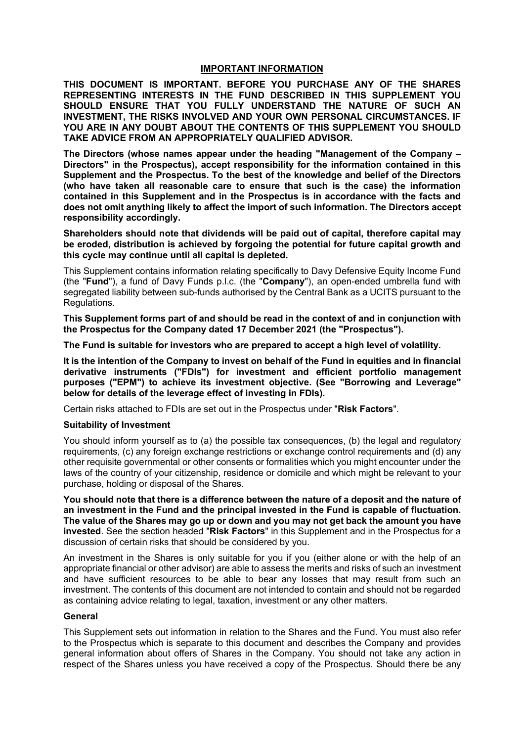#### **IMPORTANT INFORMATION**

**THIS DOCUMENT IS IMPORTANT. BEFORE YOU PURCHASE ANY OF THE SHARES REPRESENTING INTERESTS IN THE FUND DESCRIBED IN THIS SUPPLEMENT YOU SHOULD ENSURE THAT YOU FULLY UNDERSTAND THE NATURE OF SUCH AN INVESTMENT, THE RISKS INVOLVED AND YOUR OWN PERSONAL CIRCUMSTANCES. IF YOU ARE IN ANY DOUBT ABOUT THE CONTENTS OF THIS SUPPLEMENT YOU SHOULD TAKE ADVICE FROM AN APPROPRIATELY QUALIFIED ADVISOR.** 

**The Directors (whose names appear under the heading "Management of the Company – Directors" in the Prospectus), accept responsibility for the information contained in this Supplement and the Prospectus. To the best of the knowledge and belief of the Directors (who have taken all reasonable care to ensure that such is the case) the information contained in this Supplement and in the Prospectus is in accordance with the facts and does not omit anything likely to affect the import of such information. The Directors accept responsibility accordingly.** 

**Shareholders should note that dividends will be paid out of capital, therefore capital may be eroded, distribution is achieved by forgoing the potential for future capital growth and this cycle may continue until all capital is depleted.** 

This Supplement contains information relating specifically to Davy Defensive Equity Income Fund (the "**Fund**"), a fund of Davy Funds p.l.c. (the "**Company**"), an open-ended umbrella fund with segregated liability between sub-funds authorised by the Central Bank as a UCITS pursuant to the Regulations.

**This Supplement forms part of and should be read in the context of and in conjunction with the Prospectus for the Company dated 17 December 2021 (the "Prospectus").** 

**The Fund is suitable for investors who are prepared to accept a high level of volatility.** 

**It is the intention of the Company to invest on behalf of the Fund in equities and in financial derivative instruments ("FDIs") for investment and efficient portfolio management purposes ("EPM") to achieve its investment objective. (See "Borrowing and Leverage" below for details of the leverage effect of investing in FDIs).**

Certain risks attached to FDIs are set out in the Prospectus under "**Risk Factors**".

### **Suitability of Investment**

You should inform yourself as to (a) the possible tax consequences, (b) the legal and regulatory requirements, (c) any foreign exchange restrictions or exchange control requirements and (d) any other requisite governmental or other consents or formalities which you might encounter under the laws of the country of your citizenship, residence or domicile and which might be relevant to your purchase, holding or disposal of the Shares.

**You should note that there is a difference between the nature of a deposit and the nature of an investment in the Fund and the principal invested in the Fund is capable of fluctuation. The value of the Shares may go up or down and you may not get back the amount you have invested**. See the section headed "**Risk Factors**" in this Supplement and in the Prospectus for a discussion of certain risks that should be considered by you.

An investment in the Shares is only suitable for you if you (either alone or with the help of an appropriate financial or other advisor) are able to assess the merits and risks of such an investment and have sufficient resources to be able to bear any losses that may result from such an investment. The contents of this document are not intended to contain and should not be regarded as containing advice relating to legal, taxation, investment or any other matters.

#### **General**

This Supplement sets out information in relation to the Shares and the Fund. You must also refer to the Prospectus which is separate to this document and describes the Company and provides general information about offers of Shares in the Company. You should not take any action in respect of the Shares unless you have received a copy of the Prospectus. Should there be any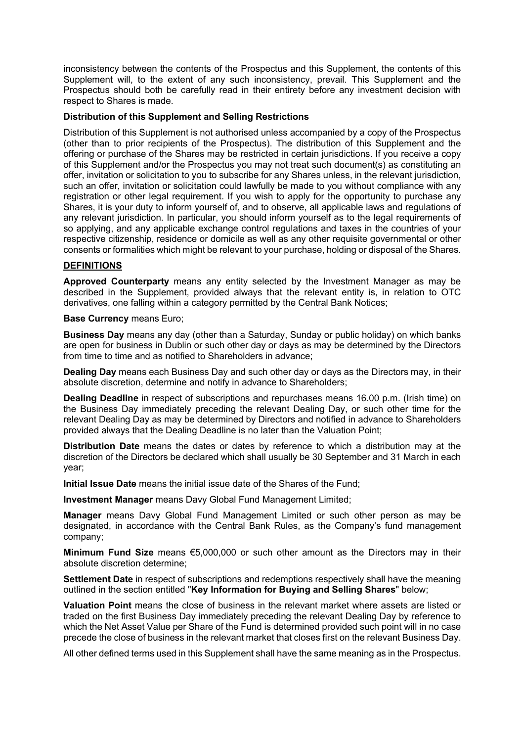inconsistency between the contents of the Prospectus and this Supplement, the contents of this Supplement will, to the extent of any such inconsistency, prevail. This Supplement and the Prospectus should both be carefully read in their entirety before any investment decision with respect to Shares is made.

## **Distribution of this Supplement and Selling Restrictions**

Distribution of this Supplement is not authorised unless accompanied by a copy of the Prospectus (other than to prior recipients of the Prospectus). The distribution of this Supplement and the offering or purchase of the Shares may be restricted in certain jurisdictions. If you receive a copy of this Supplement and/or the Prospectus you may not treat such document(s) as constituting an offer, invitation or solicitation to you to subscribe for any Shares unless, in the relevant jurisdiction, such an offer, invitation or solicitation could lawfully be made to you without compliance with any registration or other legal requirement. If you wish to apply for the opportunity to purchase any Shares, it is your duty to inform yourself of, and to observe, all applicable laws and regulations of any relevant jurisdiction. In particular, you should inform yourself as to the legal requirements of so applying, and any applicable exchange control regulations and taxes in the countries of your respective citizenship, residence or domicile as well as any other requisite governmental or other consents or formalities which might be relevant to your purchase, holding or disposal of the Shares.

## **DEFINITIONS**

**Approved Counterparty** means any entity selected by the Investment Manager as may be described in the Supplement, provided always that the relevant entity is, in relation to OTC derivatives, one falling within a category permitted by the Central Bank Notices;

**Base Currency** means Euro;

**Business Day** means any day (other than a Saturday, Sunday or public holiday) on which banks are open for business in Dublin or such other day or days as may be determined by the Directors from time to time and as notified to Shareholders in advance;

**Dealing Day** means each Business Day and such other day or days as the Directors may, in their absolute discretion, determine and notify in advance to Shareholders;

**Dealing Deadline** in respect of subscriptions and repurchases means 16.00 p.m. (Irish time) on the Business Day immediately preceding the relevant Dealing Day, or such other time for the relevant Dealing Day as may be determined by Directors and notified in advance to Shareholders provided always that the Dealing Deadline is no later than the Valuation Point;

**Distribution Date** means the dates or dates by reference to which a distribution may at the discretion of the Directors be declared which shall usually be 30 September and 31 March in each year;

**Initial Issue Date** means the initial issue date of the Shares of the Fund;

**Investment Manager** means Davy Global Fund Management Limited;

**Manager** means Davy Global Fund Management Limited or such other person as may be designated, in accordance with the Central Bank Rules, as the Company's fund management company;

**Minimum Fund Size** means €5,000,000 or such other amount as the Directors may in their absolute discretion determine;

**Settlement Date** in respect of subscriptions and redemptions respectively shall have the meaning outlined in the section entitled "**Key Information for Buying and Selling Shares**" below;

**Valuation Point** means the close of business in the relevant market where assets are listed or traded on the first Business Day immediately preceding the relevant Dealing Day by reference to which the Net Asset Value per Share of the Fund is determined provided such point will in no case precede the close of business in the relevant market that closes first on the relevant Business Day.

All other defined terms used in this Supplement shall have the same meaning as in the Prospectus.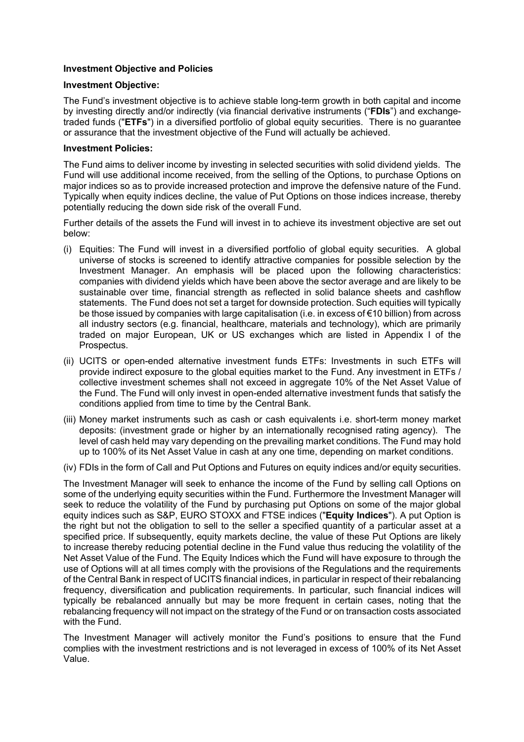## **Investment Objective and Policies**

### **Investment Objective:**

The Fund's investment objective is to achieve stable long-term growth in both capital and income by investing directly and/or indirectly (via financial derivative instruments ("**FDIs**") and exchangetraded funds ("**ETFs**") in a diversified portfolio of global equity securities. There is no guarantee or assurance that the investment objective of the Fund will actually be achieved.

### **Investment Policies:**

The Fund aims to deliver income by investing in selected securities with solid dividend yields. The Fund will use additional income received, from the selling of the Options, to purchase Options on major indices so as to provide increased protection and improve the defensive nature of the Fund. Typically when equity indices decline, the value of Put Options on those indices increase, thereby potentially reducing the down side risk of the overall Fund.

Further details of the assets the Fund will invest in to achieve its investment objective are set out below:

- (i) Equities: The Fund will invest in a diversified portfolio of global equity securities. A global universe of stocks is screened to identify attractive companies for possible selection by the Investment Manager. An emphasis will be placed upon the following characteristics: companies with dividend yields which have been above the sector average and are likely to be sustainable over time, financial strength as reflected in solid balance sheets and cashflow statements. The Fund does not set a target for downside protection. Such equities will typically be those issued by companies with large capitalisation (i.e. in excess of €10 billion) from across all industry sectors (e.g. financial, healthcare, materials and technology), which are primarily traded on major European, UK or US exchanges which are listed in Appendix I of the Prospectus.
- (ii) UCITS or open-ended alternative investment funds ETFs: Investments in such ETFs will provide indirect exposure to the global equities market to the Fund. Any investment in ETFs / collective investment schemes shall not exceed in aggregate 10% of the Net Asset Value of the Fund. The Fund will only invest in open-ended alternative investment funds that satisfy the conditions applied from time to time by the Central Bank.
- (iii) Money market instruments such as cash or cash equivalents i.e. short-term money market deposits: (investment grade or higher by an internationally recognised rating agency). The level of cash held may vary depending on the prevailing market conditions. The Fund may hold up to 100% of its Net Asset Value in cash at any one time, depending on market conditions.
- (iv) FDIs in the form of Call and Put Options and Futures on equity indices and/or equity securities.

The Investment Manager will seek to enhance the income of the Fund by selling call Options on some of the underlying equity securities within the Fund. Furthermore the Investment Manager will seek to reduce the volatility of the Fund by purchasing put Options on some of the major global equity indices such as S&P, EURO STOXX and FTSE indices ("**Equity Indices**"). A put Option is the right but not the obligation to sell to the seller a specified quantity of a particular asset at a specified price. If subsequently, equity markets decline, the value of these Put Options are likely to increase thereby reducing potential decline in the Fund value thus reducing the volatility of the Net Asset Value of the Fund. The Equity Indices which the Fund will have exposure to through the use of Options will at all times comply with the provisions of the Regulations and the requirements of the Central Bank in respect of UCITS financial indices, in particular in respect of their rebalancing frequency, diversification and publication requirements. In particular, such financial indices will typically be rebalanced annually but may be more frequent in certain cases, noting that the rebalancing frequency will not impact on the strategy of the Fund or on transaction costs associated with the Fund.

The Investment Manager will actively monitor the Fund's positions to ensure that the Fund complies with the investment restrictions and is not leveraged in excess of 100% of its Net Asset Value.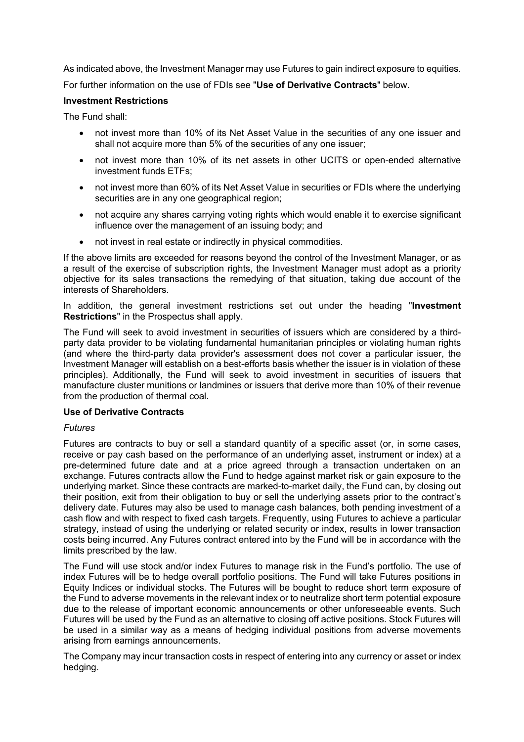As indicated above, the Investment Manager may use Futures to gain indirect exposure to equities.

For further information on the use of FDIs see "**Use of Derivative Contracts**" below.

## **Investment Restrictions**

The Fund shall:

- not invest more than 10% of its Net Asset Value in the securities of any one issuer and shall not acquire more than 5% of the securities of any one issuer;
- not invest more than 10% of its net assets in other UCITS or open-ended alternative investment funds ETFs;
- not invest more than 60% of its Net Asset Value in securities or FDIs where the underlying securities are in any one geographical region;
- not acquire any shares carrying voting rights which would enable it to exercise significant influence over the management of an issuing body; and
- not invest in real estate or indirectly in physical commodities.

If the above limits are exceeded for reasons beyond the control of the Investment Manager, or as a result of the exercise of subscription rights, the Investment Manager must adopt as a priority objective for its sales transactions the remedying of that situation, taking due account of the interests of Shareholders.

In addition, the general investment restrictions set out under the heading "**Investment Restrictions**" in the Prospectus shall apply.

The Fund will seek to avoid investment in securities of issuers which are considered by a thirdparty data provider to be violating fundamental humanitarian principles or violating human rights (and where the third-party data provider's assessment does not cover a particular issuer, the Investment Manager will establish on a best-efforts basis whether the issuer is in violation of these principles). Additionally, the Fund will seek to avoid investment in securities of issuers that manufacture cluster munitions or landmines or issuers that derive more than 10% of their revenue from the production of thermal coal.

### **Use of Derivative Contracts**

### *Futures*

Futures are contracts to buy or sell a standard quantity of a specific asset (or, in some cases, receive or pay cash based on the performance of an underlying asset, instrument or index) at a pre-determined future date and at a price agreed through a transaction undertaken on an exchange. Futures contracts allow the Fund to hedge against market risk or gain exposure to the underlying market. Since these contracts are marked-to-market daily, the Fund can, by closing out their position, exit from their obligation to buy or sell the underlying assets prior to the contract's delivery date. Futures may also be used to manage cash balances, both pending investment of a cash flow and with respect to fixed cash targets. Frequently, using Futures to achieve a particular strategy, instead of using the underlying or related security or index, results in lower transaction costs being incurred. Any Futures contract entered into by the Fund will be in accordance with the limits prescribed by the law.

The Fund will use stock and/or index Futures to manage risk in the Fund's portfolio. The use of index Futures will be to hedge overall portfolio positions. The Fund will take Futures positions in Equity Indices or individual stocks. The Futures will be bought to reduce short term exposure of the Fund to adverse movements in the relevant index or to neutralize short term potential exposure due to the release of important economic announcements or other unforeseeable events. Such Futures will be used by the Fund as an alternative to closing off active positions. Stock Futures will be used in a similar way as a means of hedging individual positions from adverse movements arising from earnings announcements.

The Company may incur transaction costs in respect of entering into any currency or asset or index hedging.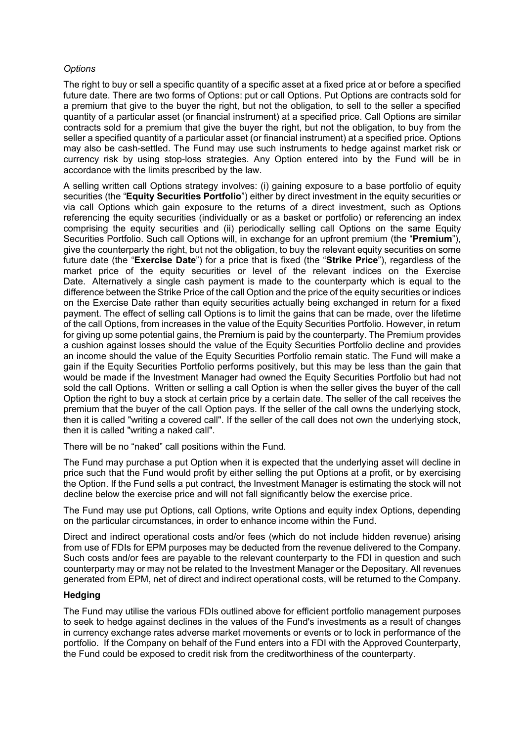# *Options*

The right to buy or sell a specific quantity of a specific asset at a fixed price at or before a specified future date. There are two forms of Options: put or call Options. Put Options are contracts sold for a premium that give to the buyer the right, but not the obligation, to sell to the seller a specified quantity of a particular asset (or financial instrument) at a specified price. Call Options are similar contracts sold for a premium that give the buyer the right, but not the obligation, to buy from the seller a specified quantity of a particular asset (or financial instrument) at a specified price. Options may also be cash-settled. The Fund may use such instruments to hedge against market risk or currency risk by using stop-loss strategies. Any Option entered into by the Fund will be in accordance with the limits prescribed by the law.

A selling written call Options strategy involves: (i) gaining exposure to a base portfolio of equity securities (the "**Equity Securities Portfolio**") either by direct investment in the equity securities or via call Options which gain exposure to the returns of a direct investment, such as Options referencing the equity securities (individually or as a basket or portfolio) or referencing an index comprising the equity securities and (ii) periodically selling call Options on the same Equity Securities Portfolio. Such call Options will, in exchange for an upfront premium (the "**Premium**"), give the counterparty the right, but not the obligation, to buy the relevant equity securities on some future date (the "**Exercise Date**") for a price that is fixed (the "**Strike Price**"), regardless of the market price of the equity securities or level of the relevant indices on the Exercise Date. Alternatively a single cash payment is made to the counterparty which is equal to the difference between the Strike Price of the call Option and the price of the equity securities or indices on the Exercise Date rather than equity securities actually being exchanged in return for a fixed payment. The effect of selling call Options is to limit the gains that can be made, over the lifetime of the call Options, from increases in the value of the Equity Securities Portfolio. However, in return for giving up some potential gains, the Premium is paid by the counterparty. The Premium provides a cushion against losses should the value of the Equity Securities Portfolio decline and provides an income should the value of the Equity Securities Portfolio remain static. The Fund will make a gain if the Equity Securities Portfolio performs positively, but this may be less than the gain that would be made if the Investment Manager had owned the Equity Securities Portfolio but had not sold the call Options. Written or selling a call Option is when the seller gives the buyer of the call Option the right to buy a stock at certain price by a certain date. The seller of the call receives the premium that the buyer of the call Option pays. If the seller of the call owns the underlying stock, then it is called "writing a covered call". If the seller of the call does not own the underlying stock, then it is called "writing a naked call".

There will be no "naked" call positions within the Fund.

The Fund may purchase a put Option when it is expected that the underlying asset will decline in price such that the Fund would profit by either selling the put Options at a profit, or by exercising the Option. If the Fund sells a put contract, the Investment Manager is estimating the stock will not decline below the exercise price and will not fall significantly below the exercise price.

The Fund may use put Options, call Options, write Options and equity index Options, depending on the particular circumstances, in order to enhance income within the Fund.

Direct and indirect operational costs and/or fees (which do not include hidden revenue) arising from use of FDIs for EPM purposes may be deducted from the revenue delivered to the Company. Such costs and/or fees are payable to the relevant counterparty to the FDI in question and such counterparty may or may not be related to the Investment Manager or the Depositary. All revenues generated from EPM, net of direct and indirect operational costs, will be returned to the Company.

### **Hedging**

The Fund may utilise the various FDIs outlined above for efficient portfolio management purposes to seek to hedge against declines in the values of the Fund's investments as a result of changes in currency exchange rates adverse market movements or events or to lock in performance of the portfolio. If the Company on behalf of the Fund enters into a FDI with the Approved Counterparty, the Fund could be exposed to credit risk from the creditworthiness of the counterparty.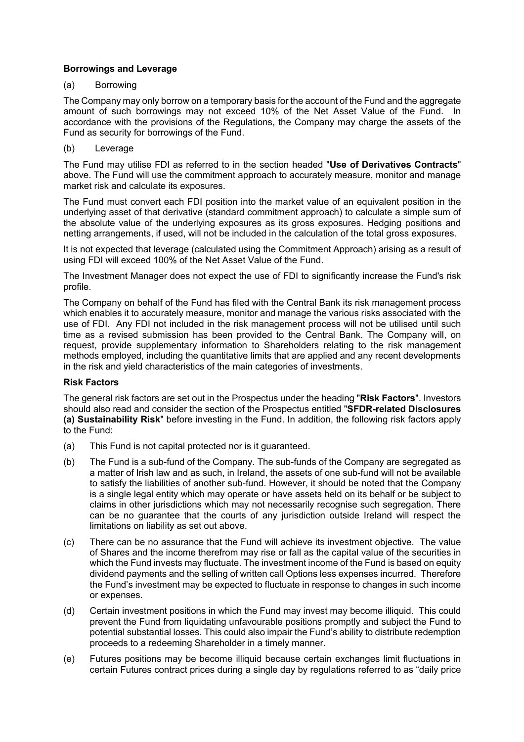# **Borrowings and Leverage**

## (a) Borrowing

The Company may only borrow on a temporary basis for the account of the Fund and the aggregate amount of such borrowings may not exceed 10% of the Net Asset Value of the Fund. In accordance with the provisions of the Regulations, the Company may charge the assets of the Fund as security for borrowings of the Fund.

## (b) Leverage

The Fund may utilise FDI as referred to in the section headed "**Use of Derivatives Contracts**" above. The Fund will use the commitment approach to accurately measure, monitor and manage market risk and calculate its exposures.

The Fund must convert each FDI position into the market value of an equivalent position in the underlying asset of that derivative (standard commitment approach) to calculate a simple sum of the absolute value of the underlying exposures as its gross exposures. Hedging positions and netting arrangements, if used, will not be included in the calculation of the total gross exposures.

It is not expected that leverage (calculated using the Commitment Approach) arising as a result of using FDI will exceed 100% of the Net Asset Value of the Fund.

The Investment Manager does not expect the use of FDI to significantly increase the Fund's risk profile.

The Company on behalf of the Fund has filed with the Central Bank its risk management process which enables it to accurately measure, monitor and manage the various risks associated with the use of FDI. Any FDI not included in the risk management process will not be utilised until such time as a revised submission has been provided to the Central Bank. The Company will, on request, provide supplementary information to Shareholders relating to the risk management methods employed, including the quantitative limits that are applied and any recent developments in the risk and yield characteristics of the main categories of investments.

### **Risk Factors**

The general risk factors are set out in the Prospectus under the heading "**Risk Factors**". Investors should also read and consider the section of the Prospectus entitled "**SFDR-related Disclosures (a) Sustainability Risk**" before investing in the Fund. In addition, the following risk factors apply to the Fund:

- (a) This Fund is not capital protected nor is it guaranteed.
- (b) The Fund is a sub-fund of the Company. The sub-funds of the Company are segregated as a matter of Irish law and as such, in Ireland, the assets of one sub-fund will not be available to satisfy the liabilities of another sub-fund. However, it should be noted that the Company is a single legal entity which may operate or have assets held on its behalf or be subject to claims in other jurisdictions which may not necessarily recognise such segregation. There can be no guarantee that the courts of any jurisdiction outside Ireland will respect the limitations on liability as set out above.
- (c) There can be no assurance that the Fund will achieve its investment objective. The value of Shares and the income therefrom may rise or fall as the capital value of the securities in which the Fund invests may fluctuate. The investment income of the Fund is based on equity dividend payments and the selling of written call Options less expenses incurred. Therefore the Fund's investment may be expected to fluctuate in response to changes in such income or expenses.
- (d) Certain investment positions in which the Fund may invest may become illiquid. This could prevent the Fund from liquidating unfavourable positions promptly and subject the Fund to potential substantial losses. This could also impair the Fund's ability to distribute redemption proceeds to a redeeming Shareholder in a timely manner.
- (e) Futures positions may be become illiquid because certain exchanges limit fluctuations in certain Futures contract prices during a single day by regulations referred to as "daily price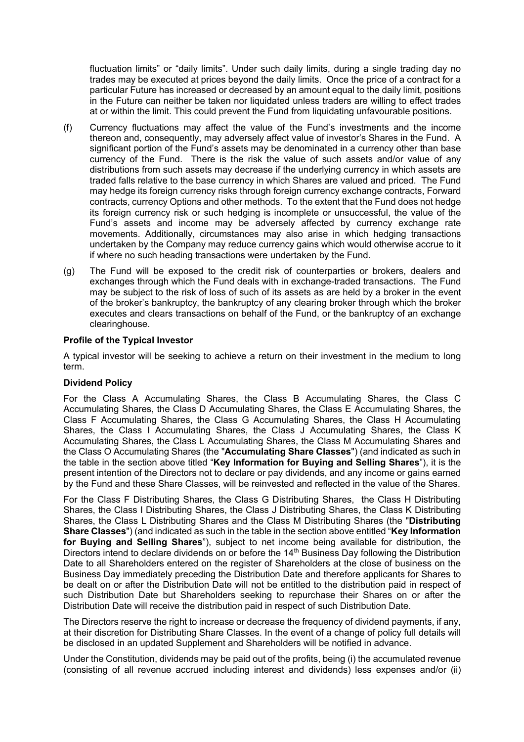fluctuation limits" or "daily limits". Under such daily limits, during a single trading day no trades may be executed at prices beyond the daily limits. Once the price of a contract for a particular Future has increased or decreased by an amount equal to the daily limit, positions in the Future can neither be taken nor liquidated unless traders are willing to effect trades at or within the limit. This could prevent the Fund from liquidating unfavourable positions.

- (f) Currency fluctuations may affect the value of the Fund's investments and the income thereon and, consequently, may adversely affect value of investor's Shares in the Fund. A significant portion of the Fund's assets may be denominated in a currency other than base currency of the Fund. There is the risk the value of such assets and/or value of any distributions from such assets may decrease if the underlying currency in which assets are traded falls relative to the base currency in which Shares are valued and priced. The Fund may hedge its foreign currency risks through foreign currency exchange contracts, Forward contracts, currency Options and other methods. To the extent that the Fund does not hedge its foreign currency risk or such hedging is incomplete or unsuccessful, the value of the Fund's assets and income may be adversely affected by currency exchange rate movements. Additionally, circumstances may also arise in which hedging transactions undertaken by the Company may reduce currency gains which would otherwise accrue to it if where no such heading transactions were undertaken by the Fund.
- (g) The Fund will be exposed to the credit risk of counterparties or brokers, dealers and exchanges through which the Fund deals with in exchange-traded transactions. The Fund may be subject to the risk of loss of such of its assets as are held by a broker in the event of the broker's bankruptcy, the bankruptcy of any clearing broker through which the broker executes and clears transactions on behalf of the Fund, or the bankruptcy of an exchange clearinghouse.

### **Profile of the Typical Investor**

A typical investor will be seeking to achieve a return on their investment in the medium to long term.

#### **Dividend Policy**

For the Class A Accumulating Shares, the Class B Accumulating Shares, the Class C Accumulating Shares, the Class D Accumulating Shares, the Class E Accumulating Shares, the Class F Accumulating Shares, the Class G Accumulating Shares, the Class H Accumulating Shares, the Class I Accumulating Shares, the Class J Accumulating Shares, the Class K Accumulating Shares, the Class L Accumulating Shares, the Class M Accumulating Shares and the Class O Accumulating Shares (the "**Accumulating Share Classes**") (and indicated as such in the table in the section above titled "**Key Information for Buying and Selling Shares**"), it is the present intention of the Directors not to declare or pay dividends, and any income or gains earned by the Fund and these Share Classes, will be reinvested and reflected in the value of the Shares.

For the Class F Distributing Shares, the Class G Distributing Shares, the Class H Distributing Shares, the Class I Distributing Shares, the Class J Distributing Shares, the Class K Distributing Shares, the Class L Distributing Shares and the Class M Distributing Shares (the "**Distributing Share Classes**") (and indicated as such in the table in the section above entitled "**Key Information for Buying and Selling Shares**"), subject to net income being available for distribution, the Directors intend to declare dividends on or before the  $14<sup>th</sup>$  Business Day following the Distribution Date to all Shareholders entered on the register of Shareholders at the close of business on the Business Day immediately preceding the Distribution Date and therefore applicants for Shares to be dealt on or after the Distribution Date will not be entitled to the distribution paid in respect of such Distribution Date but Shareholders seeking to repurchase their Shares on or after the Distribution Date will receive the distribution paid in respect of such Distribution Date.

The Directors reserve the right to increase or decrease the frequency of dividend payments, if any, at their discretion for Distributing Share Classes. In the event of a change of policy full details will be disclosed in an updated Supplement and Shareholders will be notified in advance.

Under the Constitution, dividends may be paid out of the profits, being (i) the accumulated revenue (consisting of all revenue accrued including interest and dividends) less expenses and/or (ii)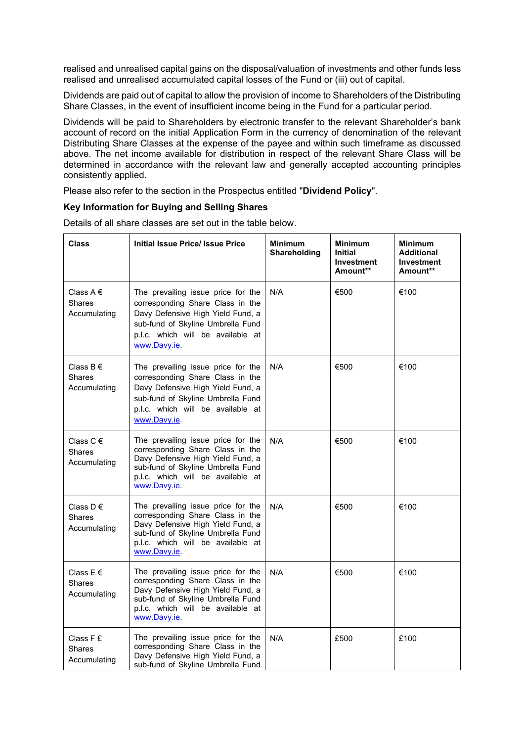realised and unrealised capital gains on the disposal/valuation of investments and other funds less realised and unrealised accumulated capital losses of the Fund or (iii) out of capital.

Dividends are paid out of capital to allow the provision of income to Shareholders of the Distributing Share Classes, in the event of insufficient income being in the Fund for a particular period.

Dividends will be paid to Shareholders by electronic transfer to the relevant Shareholder's bank account of record on the initial Application Form in the currency of denomination of the relevant Distributing Share Classes at the expense of the payee and within such timeframe as discussed above. The net income available for distribution in respect of the relevant Share Class will be determined in accordance with the relevant law and generally accepted accounting principles consistently applied.

Please also refer to the section in the Prospectus entitled "**Dividend Policy**".

## **Key Information for Buying and Selling Shares**

| <b>Class</b>                                   | <b>Initial Issue Price/ Issue Price</b>                                                                                                                                                               | <b>Minimum</b><br>Shareholding | <b>Minimum</b><br>Initial<br><b>Investment</b><br>Amount** | <b>Minimum</b><br><b>Additional</b><br><b>Investment</b><br>Amount** |
|------------------------------------------------|-------------------------------------------------------------------------------------------------------------------------------------------------------------------------------------------------------|--------------------------------|------------------------------------------------------------|----------------------------------------------------------------------|
| Class A $\in$<br>Shares<br>Accumulating        | The prevailing issue price for the<br>corresponding Share Class in the<br>Davy Defensive High Yield Fund, a<br>sub-fund of Skyline Umbrella Fund<br>p.l.c. which will be available at<br>www.Davy.ie. | N/A                            | €500                                                       | €100                                                                 |
| Class $B \in$<br><b>Shares</b><br>Accumulating | The prevailing issue price for the<br>corresponding Share Class in the<br>Davy Defensive High Yield Fund, a<br>sub-fund of Skyline Umbrella Fund<br>p.l.c. which will be available at<br>www.Davy.ie. | N/A                            | €500                                                       | €100                                                                 |
| Class $C \in$<br>Shares<br>Accumulating        | The prevailing issue price for the<br>corresponding Share Class in the<br>Davy Defensive High Yield Fund, a<br>sub-fund of Skyline Umbrella Fund<br>p.l.c. which will be available at<br>www.Davy.ie. | N/A                            | €500                                                       | €100                                                                 |
| Class D $\epsilon$<br>Shares<br>Accumulating   | The prevailing issue price for the<br>corresponding Share Class in the<br>Davy Defensive High Yield Fund, a<br>sub-fund of Skyline Umbrella Fund<br>p.l.c. which will be available at<br>www.Davy.ie. | N/A                            | €500                                                       | €100                                                                 |
| Class $E \in$<br>Shares<br>Accumulating        | The prevailing issue price for the<br>corresponding Share Class in the<br>Davy Defensive High Yield Fund, a<br>sub-fund of Skyline Umbrella Fund<br>p.l.c. which will be available at<br>www.Davy.ie. | N/A                            | €500                                                       | €100                                                                 |
| Class F £<br>Shares<br>Accumulating            | The prevailing issue price for the<br>corresponding Share Class in the<br>Davy Defensive High Yield Fund, a<br>sub-fund of Skyline Umbrella Fund                                                      | N/A                            | £500                                                       | £100                                                                 |

Details of all share classes are set out in the table below.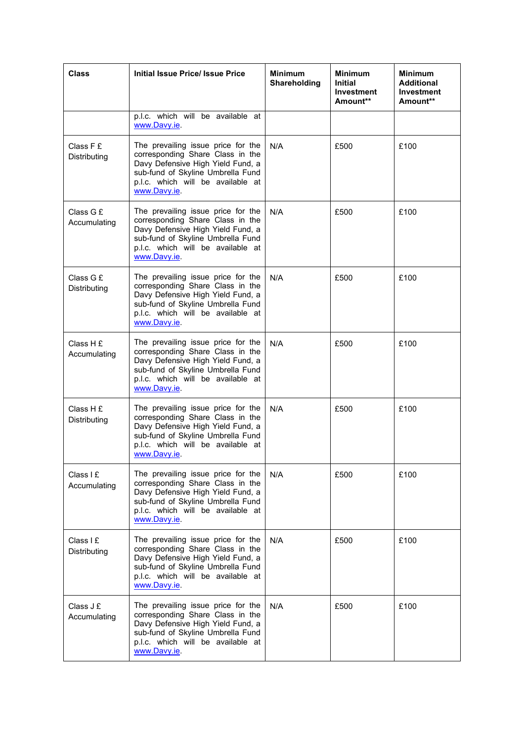| <b>Class</b>              | <b>Initial Issue Price/ Issue Price</b>                                                                                                                                                               | <b>Minimum</b><br>Shareholding | <b>Minimum</b><br><b>Initial</b><br>Investment<br>Amount** | <b>Minimum</b><br><b>Additional</b><br><b>Investment</b><br>Amount** |
|---------------------------|-------------------------------------------------------------------------------------------------------------------------------------------------------------------------------------------------------|--------------------------------|------------------------------------------------------------|----------------------------------------------------------------------|
|                           | p.l.c. which will be available at<br>www.Davy.ie.                                                                                                                                                     |                                |                                                            |                                                                      |
| Class F £<br>Distributing | The prevailing issue price for the<br>corresponding Share Class in the<br>Davy Defensive High Yield Fund, a<br>sub-fund of Skyline Umbrella Fund<br>p.l.c. which will be available at<br>www.Davy.ie. | N/A                            | £500                                                       | £100                                                                 |
| Class G £<br>Accumulating | The prevailing issue price for the<br>corresponding Share Class in the<br>Davy Defensive High Yield Fund, a<br>sub-fund of Skyline Umbrella Fund<br>p.l.c. which will be available at<br>www.Davy.ie  | N/A                            | £500                                                       | £100                                                                 |
| Class G £<br>Distributing | The prevailing issue price for the<br>corresponding Share Class in the<br>Davy Defensive High Yield Fund, a<br>sub-fund of Skyline Umbrella Fund<br>p.l.c. which will be available at<br>www.Davy.ie. | N/A                            | £500                                                       | £100                                                                 |
| Class H £<br>Accumulating | The prevailing issue price for the<br>corresponding Share Class in the<br>Davy Defensive High Yield Fund, a<br>sub-fund of Skyline Umbrella Fund<br>p.l.c. which will be available at<br>www.Davy.ie. | N/A                            | £500                                                       | £100                                                                 |
| Class H £<br>Distributing | The prevailing issue price for the<br>corresponding Share Class in the<br>Davy Defensive High Yield Fund, a<br>sub-fund of Skyline Umbrella Fund<br>p.l.c. which will be available at<br>www.Davy.ie. | N/A                            | £500                                                       | £100                                                                 |
| Class I E<br>Accumulating | The prevailing issue price for the<br>corresponding Share Class in the<br>Davy Defensive High Yield Fund, a<br>sub-fund of Skyline Umbrella Fund<br>p.l.c. which will be available at<br>www.Davy.ie. | N/A                            | £500                                                       | £100                                                                 |
| Class I £<br>Distributing | The prevailing issue price for the<br>corresponding Share Class in the<br>Davy Defensive High Yield Fund, a<br>sub-fund of Skyline Umbrella Fund<br>p.l.c. which will be available at<br>www.Davy.ie. | N/A                            | £500                                                       | £100                                                                 |
| Class J £<br>Accumulating | The prevailing issue price for the<br>corresponding Share Class in the<br>Davy Defensive High Yield Fund, a<br>sub-fund of Skyline Umbrella Fund<br>p.l.c. which will be available at<br>www.Davy.ie. | N/A                            | £500                                                       | £100                                                                 |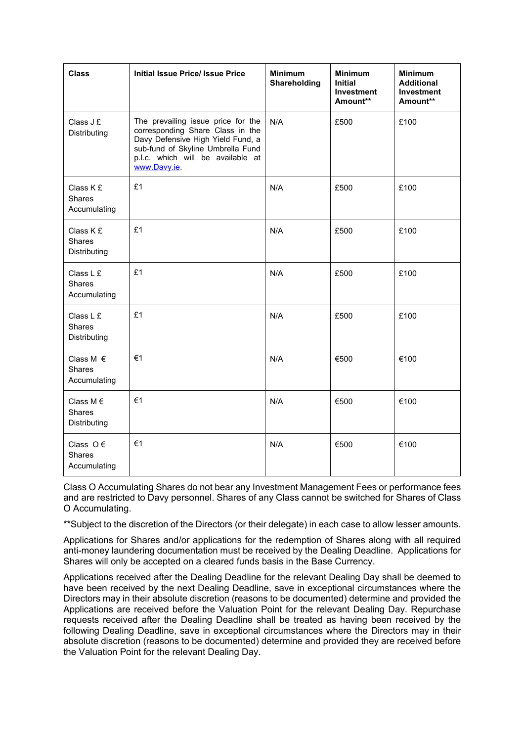| <b>Class</b>                                        | <b>Initial Issue Price/ Issue Price</b>                                                                                                                                                              | <b>Minimum</b><br>Shareholding | <b>Minimum</b><br><b>Initial</b><br><b>Investment</b><br>Amount** | <b>Minimum</b><br><b>Additional</b><br><b>Investment</b><br>Amount** |
|-----------------------------------------------------|------------------------------------------------------------------------------------------------------------------------------------------------------------------------------------------------------|--------------------------------|-------------------------------------------------------------------|----------------------------------------------------------------------|
| Class $Jf$<br><b>Distributing</b>                   | The prevailing issue price for the<br>corresponding Share Class in the<br>Davy Defensive High Yield Fund, a<br>sub-fund of Skyline Umbrella Fund<br>p.l.c. which will be available at<br>www.Davy.ie | N/A                            | £500                                                              | £100                                                                 |
| Class K £<br><b>Shares</b><br>Accumulating          | £1                                                                                                                                                                                                   | N/A                            | £500                                                              | £100                                                                 |
| Class K £<br><b>Shares</b><br>Distributing          | £1                                                                                                                                                                                                   | N/A                            | £500                                                              | £100                                                                 |
| Class L £<br><b>Shares</b><br>Accumulating          | £1                                                                                                                                                                                                   | N/A                            | £500                                                              | £100                                                                 |
| Class L £<br><b>Shares</b><br>Distributing          | £1                                                                                                                                                                                                   | N/A                            | £500                                                              | £100                                                                 |
| Class M $\epsilon$<br><b>Shares</b><br>Accumulating | €1                                                                                                                                                                                                   | N/A                            | €500                                                              | €100                                                                 |
| Class M $\epsilon$<br><b>Shares</b><br>Distributing | $\epsilon$ 1                                                                                                                                                                                         | N/A                            | €500                                                              | €100                                                                 |
| Class $O \in$<br><b>Shares</b><br>Accumulating      | $\epsilon$ 1                                                                                                                                                                                         | N/A                            | €500                                                              | €100                                                                 |

Class O Accumulating Shares do not bear any Investment Management Fees or performance fees and are restricted to Davy personnel. Shares of any Class cannot be switched for Shares of Class O Accumulating.

\*\*Subject to the discretion of the Directors (or their delegate) in each case to allow lesser amounts.

Applications for Shares and/or applications for the redemption of Shares along with all required anti-money laundering documentation must be received by the Dealing Deadline. Applications for Shares will only be accepted on a cleared funds basis in the Base Currency.

Applications received after the Dealing Deadline for the relevant Dealing Day shall be deemed to have been received by the next Dealing Deadline, save in exceptional circumstances where the Directors may in their absolute discretion (reasons to be documented) determine and provided the Applications are received before the Valuation Point for the relevant Dealing Day. Repurchase requests received after the Dealing Deadline shall be treated as having been received by the following Dealing Deadline, save in exceptional circumstances where the Directors may in their absolute discretion (reasons to be documented) determine and provided they are received before the Valuation Point for the relevant Dealing Day.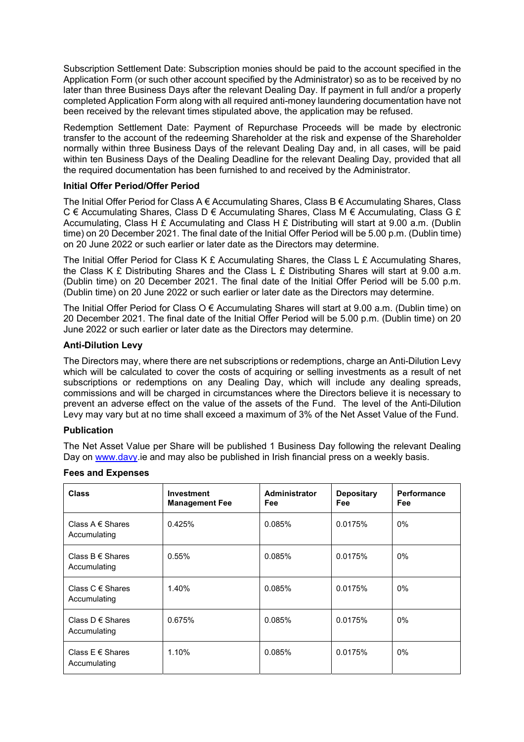Subscription Settlement Date: Subscription monies should be paid to the account specified in the Application Form (or such other account specified by the Administrator) so as to be received by no later than three Business Days after the relevant Dealing Day. If payment in full and/or a properly completed Application Form along with all required anti-money laundering documentation have not been received by the relevant times stipulated above, the application may be refused.

Redemption Settlement Date: Payment of Repurchase Proceeds will be made by electronic transfer to the account of the redeeming Shareholder at the risk and expense of the Shareholder normally within three Business Days of the relevant Dealing Day and, in all cases, will be paid within ten Business Days of the Dealing Deadline for the relevant Dealing Day, provided that all the required documentation has been furnished to and received by the Administrator.

# **Initial Offer Period/Offer Period**

The Initial Offer Period for Class A € Accumulating Shares, Class B € Accumulating Shares, Class C € Accumulating Shares, Class D € Accumulating Shares, Class M € Accumulating, Class G £ Accumulating, Class H £ Accumulating and Class H £ Distributing will start at 9.00 a.m. (Dublin time) on 20 December 2021. The final date of the Initial Offer Period will be 5.00 p.m. (Dublin time) on 20 June 2022 or such earlier or later date as the Directors may determine.

The Initial Offer Period for Class K £ Accumulating Shares, the Class L £ Accumulating Shares, the Class K £ Distributing Shares and the Class L £ Distributing Shares will start at 9.00 a.m. (Dublin time) on 20 December 2021. The final date of the Initial Offer Period will be 5.00 p.m. (Dublin time) on 20 June 2022 or such earlier or later date as the Directors may determine.

The Initial Offer Period for Class O € Accumulating Shares will start at 9.00 a.m. (Dublin time) on 20 December 2021. The final date of the Initial Offer Period will be 5.00 p.m. (Dublin time) on 20 June 2022 or such earlier or later date as the Directors may determine.

# **Anti-Dilution Levy**

The Directors may, where there are net subscriptions or redemptions, charge an Anti-Dilution Levy which will be calculated to cover the costs of acquiring or selling investments as a result of net subscriptions or redemptions on any Dealing Day, which will include any dealing spreads, commissions and will be charged in circumstances where the Directors believe it is necessary to prevent an adverse effect on the value of the assets of the Fund. The level of the Anti-Dilution Levy may vary but at no time shall exceed a maximum of 3% of the Net Asset Value of the Fund.

## **Publication**

The Net Asset Value per Share will be published 1 Business Day following the relevant Dealing Day on www.davy.ie and may also be published in Irish financial press on a weekly basis.

| <b>Class</b>                         | <b>Investment</b><br><b>Management Fee</b> | <b>Administrator</b><br><b>Fee</b> | <b>Depositary</b><br>Fee | <b>Performance</b><br><b>Fee</b> |
|--------------------------------------|--------------------------------------------|------------------------------------|--------------------------|----------------------------------|
| Class A $\in$ Shares<br>Accumulating | 0.425%                                     | 0.085%                             | 0.0175%                  | 0%                               |
| Class $B \in$ Shares<br>Accumulating | 0.55%                                      | 0.085%                             | 0.0175%                  | $0\%$                            |
| Class C $\in$ Shares<br>Accumulating | 1.40%                                      | 0.085%                             | 0.0175%                  | $0\%$                            |
| Class $D \in$ Shares<br>Accumulating | 0.675%                                     | 0.085%                             | 0.0175%                  | $0\%$                            |
| Class $E \in Shares$<br>Accumulating | 1.10%                                      | 0.085%                             | 0.0175%                  | $0\%$                            |

### **Fees and Expenses**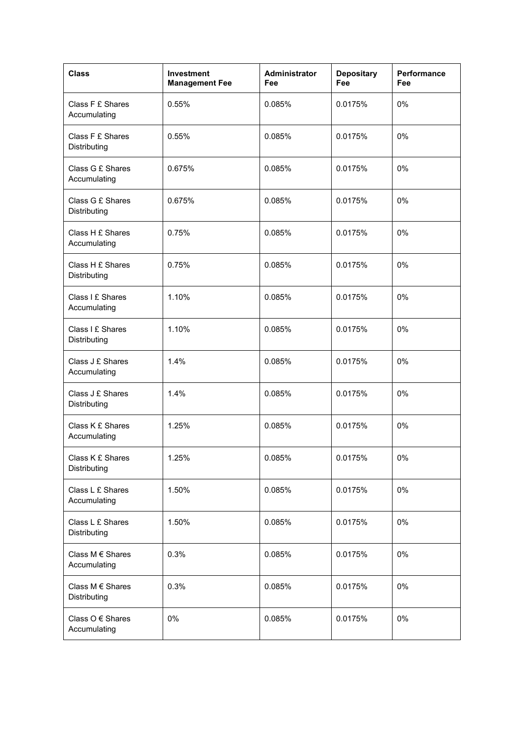| <b>Class</b>                         | Investment<br><b>Management Fee</b> | <b>Administrator</b><br>Fee | <b>Depositary</b><br>Fee | Performance<br>Fee |
|--------------------------------------|-------------------------------------|-----------------------------|--------------------------|--------------------|
| Class F £ Shares<br>Accumulating     | 0.55%                               | 0.085%                      | 0.0175%                  | 0%                 |
| Class F £ Shares<br>Distributing     | 0.55%                               | 0.085%                      | 0.0175%                  | 0%                 |
| Class G £ Shares<br>Accumulating     | 0.675%                              | 0.085%                      | 0.0175%                  | 0%                 |
| Class G £ Shares<br>Distributing     | 0.675%                              | 0.085%                      | 0.0175%                  | 0%                 |
| Class H £ Shares<br>Accumulating     | 0.75%                               | 0.085%                      | 0.0175%                  | 0%                 |
| Class H £ Shares<br>Distributing     | 0.75%                               | 0.085%                      | 0.0175%                  | 0%                 |
| Class I £ Shares<br>Accumulating     | 1.10%                               | 0.085%                      | 0.0175%                  | 0%                 |
| Class I £ Shares<br>Distributing     | 1.10%                               | 0.085%                      | 0.0175%                  | 0%                 |
| Class J £ Shares<br>Accumulating     | 1.4%                                | 0.085%                      | 0.0175%                  | 0%                 |
| Class J £ Shares<br>Distributing     | 1.4%                                | 0.085%                      | 0.0175%                  | 0%                 |
| Class K £ Shares<br>Accumulating     | 1.25%                               | 0.085%                      | 0.0175%                  | 0%                 |
| Class K £ Shares<br>Distributing     | 1.25%                               | 0.085%                      | 0.0175%                  | 0%                 |
| Class L £ Shares<br>Accumulating     | 1.50%                               | 0.085%                      | 0.0175%                  | 0%                 |
| Class L £ Shares<br>Distributing     | 1.50%                               | 0.085%                      | 0.0175%                  | 0%                 |
| Class M € Shares<br>Accumulating     | 0.3%                                | 0.085%                      | 0.0175%                  | 0%                 |
| Class M € Shares<br>Distributing     | 0.3%                                | 0.085%                      | 0.0175%                  | 0%                 |
| Class $O \in$ Shares<br>Accumulating | 0%                                  | 0.085%                      | 0.0175%                  | 0%                 |